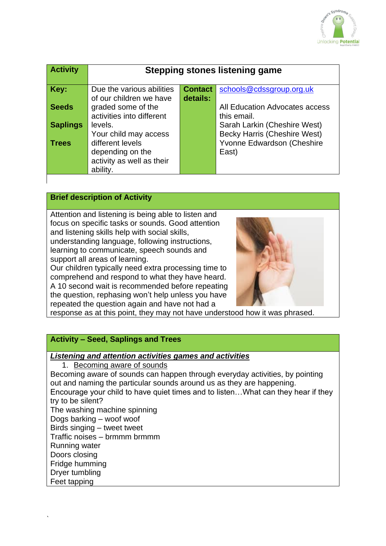

| <b>Activity</b> | <b>Stepping stones listening game</b> |                |                                     |
|-----------------|---------------------------------------|----------------|-------------------------------------|
| Key:            | Due the various abilities             | <b>Contact</b> | schools@cdssgroup.org.uk            |
|                 | of our children we have               | details:       |                                     |
| <b>Seeds</b>    | graded some of the                    |                | All Education Advocates access      |
|                 | activities into different             |                | this email.                         |
| <b>Saplings</b> | levels.                               |                | Sarah Larkin (Cheshire West)        |
|                 | Your child may access                 |                | <b>Becky Harris (Cheshire West)</b> |
| <b>Trees</b>    | different levels                      |                | Yvonne Edwardson (Cheshire          |
|                 | depending on the                      |                | East)                               |
|                 | activity as well as their             |                |                                     |
|                 | ability.                              |                |                                     |

## **Brief description of Activity**

Attention and listening is being able to listen and focus on specific tasks or sounds. Good attention and listening skills help with social skills, understanding language, following instructions, learning to communicate, speech sounds and support all areas of learning.

Our children typically need extra processing time to comprehend and respond to what they have heard. A 10 second wait is recommended before repeating the question, rephasing won't help unless you have repeated the question again and have not had a



response as at this point, they may not have understood how it was phrased.

## **Activity – Seed, Saplings and Trees**

#### *Listening and attention activities games and activities*

1. Becoming aware of sounds Becoming aware of sounds can happen through everyday activities, by pointing out and naming the particular sounds around us as they are happening. Encourage your child to have quiet times and to listen…What can they hear if they try to be silent? The washing machine spinning Dogs barking – woof woof Birds singing – tweet tweet Traffic noises – brmmm brmmm Running water Doors closing Fridge humming Dryer tumbling Feet tapping